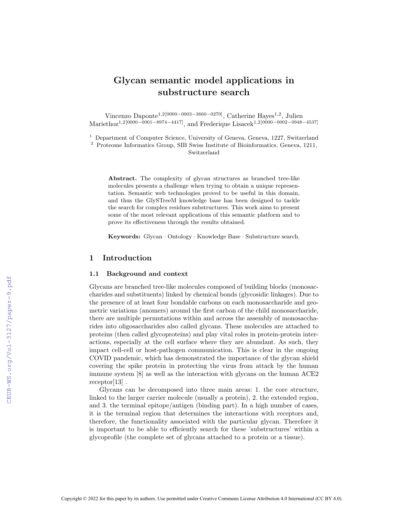# Glycan semantic model applications in substructure search

Vincenzo Daponte<sup>1,2[0000–0003–3660–0270]</sup>, Catherine Hayes<sup>1,2</sup>, Julien Mariethoz<sup>1,2[0000–0001–8974–4417]</sup>, and Frederique Lisacek<sup>1,2[0000–0002–0948–4537]</sup>

<sup>1</sup> Department of Computer Science, University of Geneva, Geneva, 1227, Switzerland

<sup>2</sup> Proteome Informatics Group, SIB Swiss Institute of Bioinformatics, Geneva, 1211,

# Switzerland

Abstract. The complexity of glycan structures as branched tree-like molecules presents a challenge when trying to obtain a unique representation. Semantic web technologies proved to be useful in this domain, and thus the GlySTreeM knowledge base has been designed to tackle the search for complex residues substructures. This work aims to present some of the most relevant applications of this semantic platform and to prove its effectiveness through the results obtained.

Keywords: Glycan · Ontology · Knowledge Base · Substructure search.

# 1 Introduction

#### 1.1 Background and context

Glycans are branched tree-like molecules composed of building blocks (monosaccharides and substituents) linked by chemical bonds (glycosidic linkages). Due to the presence of at least four bondable carbons on each monosaccharide and geometric variations (anomers) around the first carbon of the child monosaccharide, there are multiple permutations within and across the assembly of monosaccharides into oligosaccharides also called glycans. These molecules are attached to proteins (then called glycoproteins) and play vital roles in protein-protein interactions, especially at the cell surface where they are abundant. As such, they impact cell-cell or host-pathogen communication. This is clear in the ongoing COVID pandemic, which has demonstrated the importance of the glycan shield covering the spike protein in protecting the virus from attack by the human immune system [8] as well as the interaction with glycans on the human ACE2 receptor[13] .

Glycans can be decomposed into three main areas: 1. the core structure, linked to the larger carrier molecule (usually a protein), 2. the extended region, and 3. the terminal epitope/antigen (binding part). In a high number of cases, it is the terminal region that determines the interactions with receptors and, therefore, the functionality associated with the particular glycan. Therefore it is important to be able to efficiently search for these 'substructures' within a glycoprofile (the complete set of glycans attached to a protein or a tissue).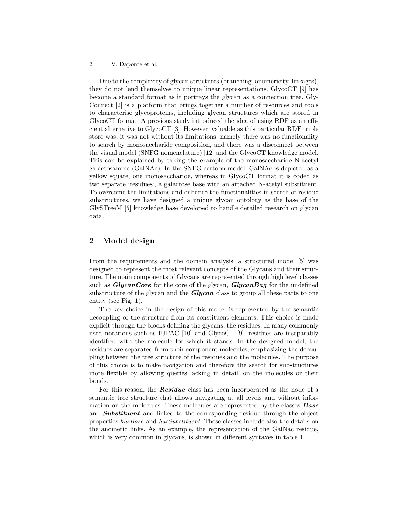Due to the complexity of glycan structures (branching, anomericity, linkages), they do not lend themselves to unique linear representations. GlycoCT [9] has become a standard format as it portrays the glycan as a connection tree. Gly-Connect [2] is a platform that brings together a number of resources and tools to characterise glycoproteins, including glycan structures which are stored in GlycoCT format. A previous study introduced the idea of using RDF as an efficient alternative to GlycoCT [3]. However, valuable as this particular RDF triple store was, it was not without its limitations, namely there was no functionality to search by monosaccharide composition, and there was a disconnect between the visual model (SNFG nomenclature) [12] and the GlycoCT knowledge model. This can be explained by taking the example of the monosaccharide N-acetyl galactosamine (GalNAc). In the SNFG cartoon model, GalNAc is depicted as a yellow square, one monosaccharide, whereas in GlycoCT format it is coded as two separate 'residues', a galactose base with an attached N-acetyl substituent. To overcome the limitations and enhance the functionalities in search of residue substructures, we have designed a unique glycan ontology as the base of the GlySTreeM [5] knowledge base developed to handle detailed research on glycan data.

# 2 Model design

From the requirements and the domain analysis, a structured model [5] was designed to represent the most relevant concepts of the Glycans and their structure. The main components of Glycans are represented through high level classes such as **GlycanCore** for the core of the glycan, **GlycanBag** for the undefined substructure of the glycan and the **Glycan** class to group all these parts to one entity (see Fig. 1).

The key choice in the design of this model is represented by the semantic decoupling of the structure from its constituent elements. This choice is made explicit through the blocks defining the glycans: the residues. In many commonly used notations such as IUPAC [10] and GlycoCT [9], residues are inseparably identified with the molecule for which it stands. In the designed model, the residues are separated from their component molecules, emphasizing the decoupling between the tree structure of the residues and the molecules. The purpose of this choice is to make navigation and therefore the search for substructures more flexible by allowing queries lacking in detail, on the molecules or their bonds.

For this reason, the Residue class has been incorporated as the node of a semantic tree structure that allows navigating at all levels and without information on the molecules. These molecules are represented by the classes **Base** and **Substituent** and linked to the corresponding residue through the object properties hasBase and hasSubstituent. These classes include also the details on the anomeric links. As an example, the representation of the GalNac residue, which is very common in glycans, is shown in different syntaxes in table 1: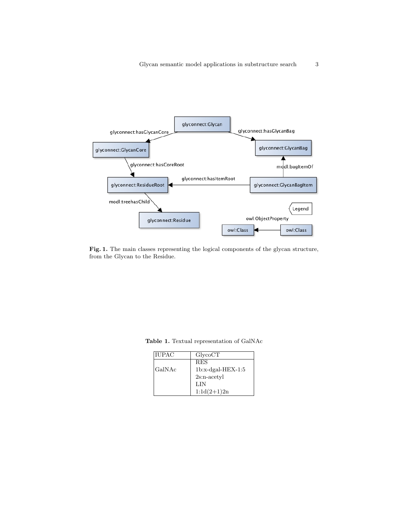

Fig. 1. The main classes representing the logical components of the glycan structure, from the Glycan to the Residue.

| <b>IUPAC</b> | GlycoCT             |
|--------------|---------------------|
|              | <b>RES</b>          |
| GalNAc       | $1b:x-dgal-HEX-1:5$ |
|              | $2s: n$ -acetyl     |
|              | LIN                 |
|              | $1:1d(2+1)2n$       |

Table 1. Textual representation of GalNAc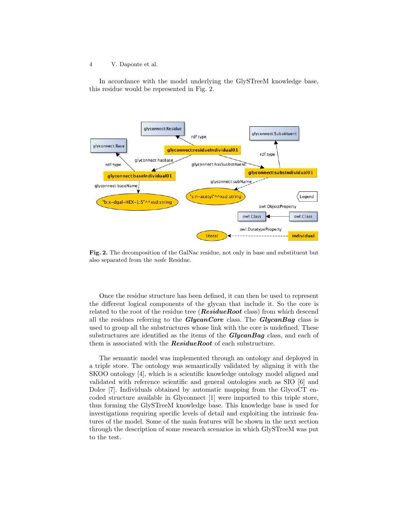In accordance with the model underlying the GlySTreeM knowledge base, this residue would be represented in Fig. 2.



Fig. 2. The decomposition of the GalNac residue, not only in base and substituent but also separated from the node Residue.

Once the residue structure has been defined, it can then be used to represent the different logical components of the glycan that include it. So the core is related to the root of the residue tree ( $\textbf{\textit{ResidueRoot}}$  class) from which descend all the residues referring to the  $Gly can Core$  class. The  $Gly can Bag$  class is used to group all the substructures whose link with the core is undefined. These substructures are identified as the items of the  $GlycanBag$  class, and each of them is associated with the **ResidueRoot** of each substructure.

The semantic model was implemented through an ontology and deployed in a triple store. The ontology was semantically validated by aligning it with the SKOO ontology [4], which is a scientific knowledge ontology model aligned and validated with reference scientific and general ontologies such as SIO [6] and Dolce [7]. Individuals obtained by automatic mapping from the GlycoCT encoded structure available in Glyconnect [1] were imported to this triple store, thus forming the GlySTreeM knowledge base. This knowledge base is used for investigations requiring specific levels of detail and exploiting the intrinsic features of the model. Some of the main features will be shown in the next section through the description of some research scenarios in which GlySTreeM was put to the test.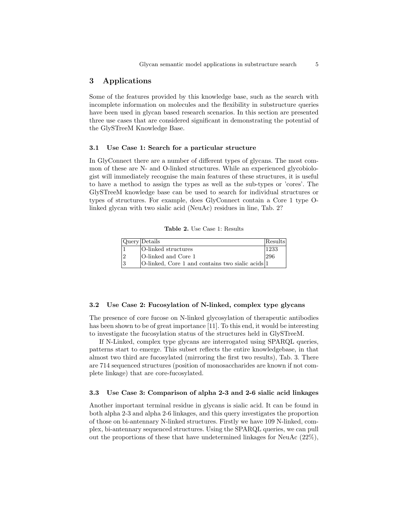# 3 Applications

Some of the features provided by this knowledge base, such as the search with incomplete information on molecules and the flexibility in substructure queries have been used in glycan based research scenarios. In this section are presented three use cases that are considered significant in demonstrating the potential of the GlySTreeM Knowledge Base.

#### 3.1 Use Case 1: Search for a particular structure

In GlyConnect there are a number of different types of glycans. The most common of these are N- and O-linked structures. While an experienced glycobiologist will immediately recognise the main features of these structures, it is useful to have a method to assign the types as well as the sub-types or 'cores'. The GlySTreeM knowledge base can be used to search for individual structures or types of structures. For example, does GlyConnect contain a Core 1 type Olinked glycan with two sialic acid (NeuAc) residues in line, Tab. 2?

Table 2. Use Case 1: Results

|  | $\sqrt{\Omega}$ Query Details                    | Results |
|--|--------------------------------------------------|---------|
|  | O-linked structures                              | 1233    |
|  | O-linked and Core 1                              | 296     |
|  | O-linked, Core 1 and contains two sialic acids 1 |         |

### 3.2 Use Case 2: Fucosylation of N-linked, complex type glycans

The presence of core fucose on N-linked glycosylation of therapeutic antibodies has been shown to be of great importance [11]. To this end, it would be interesting to investigate the fucosylation status of the structures held in GlySTreeM.

If N-Linked, complex type glycans are interrogated using SPARQL queries, patterns start to emerge. This subset reflects the entire knowledgebase, in that almost two third are fucosylated (mirroring the first two results), Tab. 3. There are 714 sequenced structures (position of monosaccharides are known if not complete linkage) that are core-fucosylated.

#### 3.3 Use Case 3: Comparison of alpha 2-3 and 2-6 sialic acid linkages

Another important terminal residue in glycans is sialic acid. It can be found in both alpha 2-3 and alpha 2-6 linkages, and this query investigates the proportion of those on bi-antennary N-linked structures. Firstly we have 109 N-linked, complex, bi-antennary sequenced structures. Using the SPARQL queries, we can pull out the proportions of these that have undetermined linkages for NeuAc  $(22\%)$ ,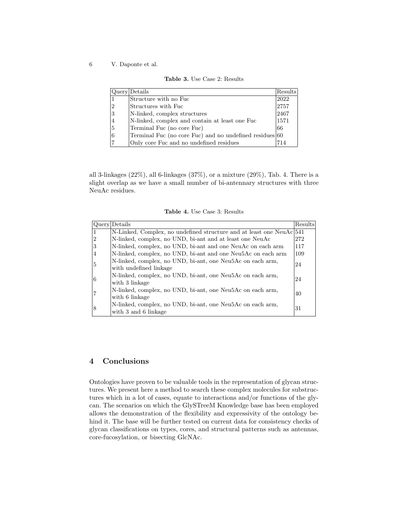|  |  | <b>Table 3.</b> Use Case 2: Results |
|--|--|-------------------------------------|
|  |  |                                     |

|                | Query Details                                           | Results |
|----------------|---------------------------------------------------------|---------|
| $\mathbf{1}$   | Structure with no Fuc                                   | 2022    |
| $\overline{2}$ | Structures with Fuc                                     | 2757    |
| $\overline{3}$ | N-linked, complex structures                            | 2467    |
| $\overline{4}$ | N-linked, complex and contain at least one Fuc          | 1571    |
| $\overline{5}$ | Terminal Fuc (no core Fuc)                              | 66      |
| 6              | Terminal Fuc (no core Fuc) and no undefined residues 60 |         |
| $\overline{7}$ | Only core Fuc and no undefined residues                 | 714     |

all 3-linkages  $(22\%)$ , all 6-linkages  $(37\%)$ , or a mixture  $(29\%)$ , Tab. 4. There is a slight overlap as we have a small number of bi-antennary structures with three NeuAc residues.

Table 4. Use Case 3: Results

|                | Query Details                                                          | Results |
|----------------|------------------------------------------------------------------------|---------|
|                | N-Linked, Complex, no undefined structure and at least one $NeuAc 541$ |         |
| $ 2\rangle$    | N-linked, complex, no UND, bi-ant and at least one NeuAc               | 272     |
| 3              | N-linked, complex, no UND, bi-ant and one NeuAc on each arm            | 117     |
| 4              | N-linked, complex, no UND, bi-ant and one Neu5Ac on each arm           | 109     |
| $\overline{5}$ | N-linked, complex, no UND, bi-ant, one Neu5Ac on each arm,             | 24      |
|                | with undefined linkage                                                 |         |
| 6              | N-linked, complex, no UND, bi-ant, one Neu5Ac on each arm,             | 24      |
|                | with 3 linkage                                                         |         |
|                | N-linked, complex, no UND, bi-ant, one Neu5Ac on each arm,             | 40      |
|                | with 6 linkage                                                         |         |
|                | N-linked, complex, no UND, bi-ant, one Neu5Ac on each arm,             |         |
| 8              | with 3 and 6 linkage                                                   | 31      |

# 4 Conclusions

Ontologies have proven to be valuable tools in the representation of glycan structures. We present here a method to search these complex molecules for substructures which in a lot of cases, equate to interactions and/or functions of the glycan. The scenarios on which the GlySTreeM Knowledge base has been employed allows the demonstration of the flexibility and expressivity of the ontology behind it. The base will be further tested on current data for consistency checks of glycan classifications on types, cores, and structural patterns such as antennas, core-fucosylation, or bisecting GlcNAc.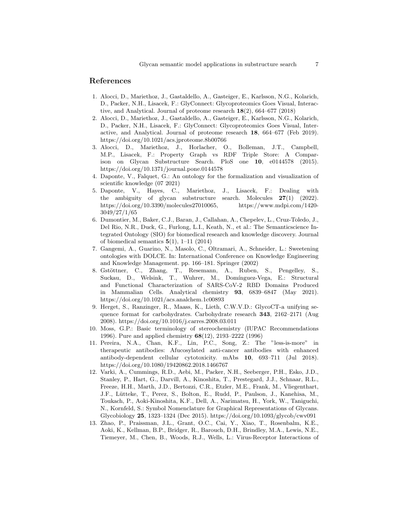# References

- 1. Alocci, D., Mariethoz, J., Gastaldello, A., Gasteiger, E., Karlsson, N.G., Kolarich, D., Packer, N.H., Lisacek, F.: GlyConnect: Glycoproteomics Goes Visual, Interactive, and Analytical. Journal of proteome research 18(2), 664–677 (2018)
- 2. Alocci, D., Mariethoz, J., Gastaldello, A., Gasteiger, E., Karlsson, N.G., Kolarich, D., Packer, N.H., Lisacek, F.: GlyConnect: Glycoproteomics Goes Visual, Interactive, and Analytical. Journal of proteome research 18, 664–677 (Feb 2019). https://doi.org/10.1021/acs.jproteome.8b00766
- 3. Alocci, D., Mariethoz, J., Horlacher, O., Bolleman, J.T., Campbell, M.P., Lisacek, F.: Property Graph vs RDF Triple Store: A Comparison on Glycan Substructure Search. PloS one 10, e0144578 (2015). https://doi.org/10.1371/journal.pone.0144578
- 4. Daponte, V., Falquet, G.: An ontology for the formalization and visualization of scientific knowledge (07 2021)
- 5. Daponte, V., Hayes, C., Mariethoz, J., Lisacek, F.: Dealing with the ambiguity of glycan substructure search. Molecules 27(1) (2022). https://doi.org/10.3390/molecules27010065, https://www.mdpi.com/1420- 3049/27/1/65
- 6. Dumontier, M., Baker, C.J., Baran, J., Callahan, A., Chepelev, L., Cruz-Toledo, J., Del Rio, N.R., Duck, G., Furlong, L.I., Keath, N., et al.: The Semanticscience Integrated Ontology (SIO) for biomedical research and knowledge discovery. Journal of biomedical semantics  $5(1)$ , 1–11 (2014)
- 7. Gangemi, A., Guarino, N., Masolo, C., Oltramari, A., Schneider, L.: Sweetening ontologies with DOLCE. In: International Conference on Knowledge Engineering and Knowledge Management. pp. 166–181. Springer (2002)
- 8. Gstöttner, C., Zhang, T., Resemann, A., Ruben, S., Pengelley, S., Suckau, D., Welsink, T., Wuhrer, M., Domínguez-Vega, E.: Structural and Functional Characterization of SARS-CoV-2 RBD Domains Produced in Mammalian Cells. Analytical chemistry 93, 6839–6847 (May 2021). https://doi.org/10.1021/acs.analchem.1c00893
- 9. Herget, S., Ranzinger, R., Maass, K., Lieth, C.W.V.D.: GlycoCT-a unifying sequence format for carbohydrates. Carbohydrate research 343, 2162–2171 (Aug 2008). https://doi.org/10.1016/j.carres.2008.03.011
- 10. Moss, G.P.: Basic terminology of stereochemistry (IUPAC Recommendations 1996). Pure and applied chemistry 68(12), 2193–2222 (1996)
- 11. Pereira, N.A., Chan, K.F., Lin, P.C., Song, Z.: The "less-is-more" in therapeutic antibodies: Afucosylated anti-cancer antibodies with enhanced antibody-dependent cellular cytotoxicity. mAbs 10, 693–711 (Jul 2018). https://doi.org/10.1080/19420862.2018.1466767
- 12. Varki, A., Cummings, R.D., Aebi, M., Packer, N.H., Seeberger, P.H., Esko, J.D., Stanley, P., Hart, G., Darvill, A., Kinoshita, T., Prestegard, J.J., Schnaar, R.L., Freeze, H.H., Marth, J.D., Bertozzi, C.R., Etzler, M.E., Frank, M., Vliegenthart, J.F., Lütteke, T., Perez, S., Bolton, E., Rudd, P., Paulson, J., Kanehisa, M., Toukach, P., Aoki-Kinoshita, K.F., Dell, A., Narimatsu, H., York, W., Taniguchi, N., Kornfeld, S.: Symbol Nomenclature for Graphical Representations of Glycans. Glycobiology 25, 1323–1324 (Dec 2015). https://doi.org/10.1093/glycob/cwv091
- 13. Zhao, P., Praissman, J.L., Grant, O.C., Cai, Y., Xiao, T., Rosenbalm, K.E., Aoki, K., Kellman, B.P., Bridger, R., Barouch, D.H., Brindley, M.A., Lewis, N.E., Tiemeyer, M., Chen, B., Woods, R.J., Wells, L.: Virus-Receptor Interactions of